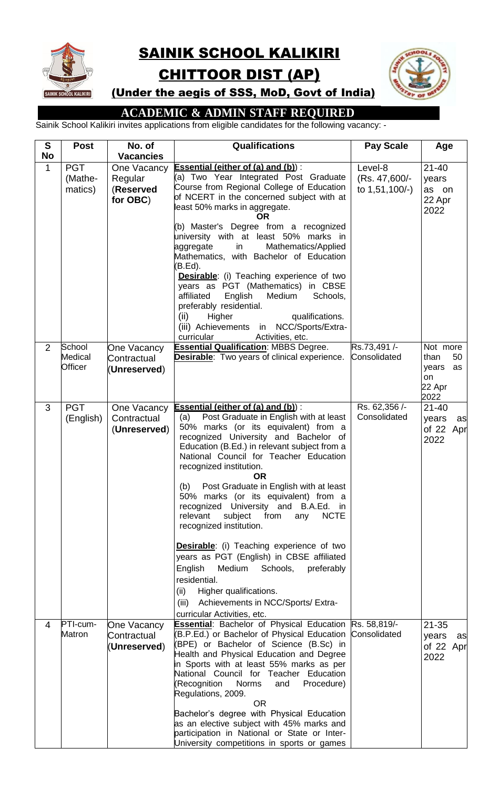

## SAINIK SCHOOL KALIKIRI

# CHITTOOR DIST (AP)



(Under the aegis of SSS, MoD, Govt of India)

## **ACADEMIC & ADMIN STAFF REQUIRED**

Sainik School Kalikiri invites applications from eligible candidates for the following vacancy: -

| S<br><b>No</b> | <b>Post</b>                      | No. of<br><b>Vacancies</b>                      | <b>Qualifications</b>                                                                                                                                                                                                                                     | <b>Pay Scale</b>                           | Age                                                           |
|----------------|----------------------------------|-------------------------------------------------|-----------------------------------------------------------------------------------------------------------------------------------------------------------------------------------------------------------------------------------------------------------|--------------------------------------------|---------------------------------------------------------------|
| $\mathbf{1}$   | <b>PGT</b><br>(Mathe-<br>matics) | One Vacancy<br>Regular<br>(Reserved<br>for OBC) | <b>Essential (either of (a) and (b)):</b><br>(a) Two Year Integrated Post Graduate<br>Course from Regional College of Education<br>of NCERT in the concerned subject with at<br>least 50% marks in aggregate.<br><b>OR</b>                                | Level-8<br>(Rs. 47,600/-<br>to 1,51,100/-) | $21 - 40$<br>years<br>as on<br>22 Apr<br>2022                 |
|                |                                  |                                                 | (b) Master's Degree from a recognized<br>university with at least 50% marks in<br>aggregate<br>Mathematics/Applied<br>in<br>Mathematics, with Bachelor of Education<br>(B.Ed).                                                                            |                                            |                                                               |
|                |                                  |                                                 | <b>Desirable:</b> (i) Teaching experience of two<br>years as PGT (Mathematics) in CBSE<br>affiliated<br>Medium<br>English<br>Schools,<br>preferably residential.<br>(ii)<br>qualifications.<br>Higher<br>(iii) Achievements in NCC/Sports/Extra-          |                                            |                                                               |
|                |                                  |                                                 | curricular<br>Activities, etc.                                                                                                                                                                                                                            |                                            |                                                               |
| $\overline{2}$ | School<br>Medical<br>Officer     | One Vacancy<br>Contractual<br>(Unreserved)      | <b>Essential Qualification: MBBS Degree.</b><br><b>Desirable:</b> Two years of clinical experience.                                                                                                                                                       | Rs.73,491/-<br>Consolidated                | Not more<br>than<br>50<br>years<br>as<br>on<br>22 Apr<br>2022 |
| 3              | <b>PGT</b>                       | One Vacancy                                     | <b>Essential (either of (a) and (b)):</b>                                                                                                                                                                                                                 | Rs. 62,356 /-                              | $21 - 40$                                                     |
|                | (English)                        | Contractual<br>(Unreserved)                     | Post Graduate in English with at least<br>(a)<br>50% marks (or its equivalent) from a<br>recognized University and Bachelor of<br>Education (B.Ed.) in relevant subject from a<br>National Council for Teacher Education<br>recognized institution.<br>OR | Consolidated                               | years<br>as<br>of 22 Apr<br>2022                              |
|                |                                  |                                                 | Post Graduate in English with at least<br>(b)<br>50% marks (or its equivalent) from a<br>recognized University and B.A.Ed. in<br>relevant<br>subject<br><b>NCTE</b><br>from<br>any<br>recognized institution.                                             |                                            |                                                               |
|                |                                  |                                                 | <b>Desirable:</b> (i) Teaching experience of two<br>years as PGT (English) in CBSE affiliated<br>English<br>Medium<br>Schools,<br>preferably                                                                                                              |                                            |                                                               |
|                |                                  |                                                 | residential.                                                                                                                                                                                                                                              |                                            |                                                               |
|                |                                  |                                                 | (ii)<br>Higher qualifications.                                                                                                                                                                                                                            |                                            |                                                               |
|                |                                  |                                                 | Achievements in NCC/Sports/ Extra-<br>(iii)                                                                                                                                                                                                               |                                            |                                                               |
| 4              | PTI-cum-                         |                                                 | curricular Activities, etc.<br><b>Essential:</b> Bachelor of Physical Education Rs. 58,819/-                                                                                                                                                              |                                            | $21 - 35$                                                     |
|                | Matron                           | One Vacancy<br>Contractual                      | (B.P.Ed.) or Bachelor of Physical Education                                                                                                                                                                                                               | Consolidated                               | years<br>as                                                   |
|                |                                  | (Unreserved)                                    | (BPE) or Bachelor of Science (B.Sc) in                                                                                                                                                                                                                    |                                            | of 22 Apr                                                     |
|                |                                  |                                                 | Health and Physical Education and Degree<br>in Sports with at least 55% marks as per                                                                                                                                                                      |                                            | 2022                                                          |
|                |                                  |                                                 | National Council for Teacher Education                                                                                                                                                                                                                    |                                            |                                                               |
|                |                                  |                                                 | (Recognition<br><b>Norms</b><br>Procedure)<br>and<br>Regulations, 2009.                                                                                                                                                                                   |                                            |                                                               |
|                |                                  |                                                 | <b>OR</b>                                                                                                                                                                                                                                                 |                                            |                                                               |
|                |                                  |                                                 | Bachelor's degree with Physical Education                                                                                                                                                                                                                 |                                            |                                                               |
|                |                                  |                                                 | as an elective subject with 45% marks and<br>participation in National or State or Inter-                                                                                                                                                                 |                                            |                                                               |
|                |                                  |                                                 | University competitions in sports or games                                                                                                                                                                                                                |                                            |                                                               |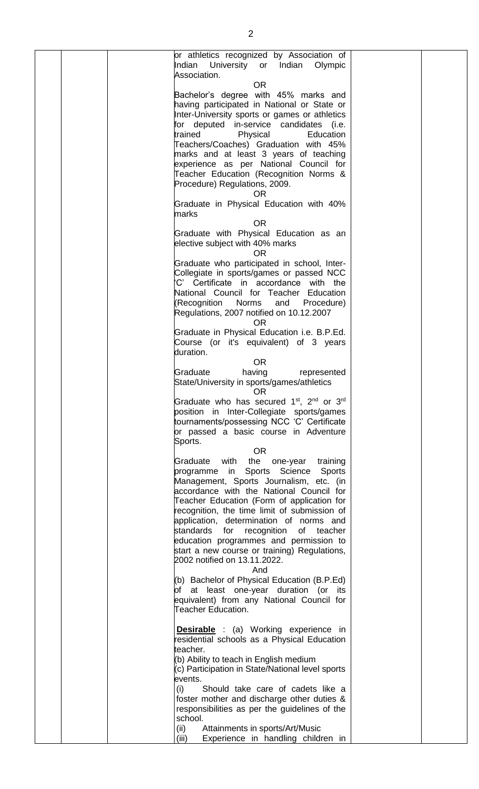|  | or athletics recognized by Association of<br>University or Indian<br>Indian<br>Olympic<br>Association.                     |  |
|--|----------------------------------------------------------------------------------------------------------------------------|--|
|  | <b>OR</b>                                                                                                                  |  |
|  | Bachelor's degree with 45% marks and<br>having participated in National or State or                                        |  |
|  | Inter-University sports or games or athletics                                                                              |  |
|  | for deputed in-service candidates (i.e.<br>trained<br>Education<br>Physical                                                |  |
|  | Teachers/Coaches) Graduation with 45%                                                                                      |  |
|  | marks and at least 3 years of teaching<br>experience as per National Council for                                           |  |
|  | Teacher Education (Recognition Norms &                                                                                     |  |
|  | Procedure) Regulations, 2009.<br>OR.                                                                                       |  |
|  | Graduate in Physical Education with 40%<br>marks<br><b>OR</b>                                                              |  |
|  | Graduate with Physical Education as an<br>elective subject with 40% marks<br><b>OR</b>                                     |  |
|  | Graduate who participated in school, Inter-                                                                                |  |
|  | Collegiate in sports/games or passed NCC<br>'C' Certificate in accordance with the                                         |  |
|  | National Council for Teacher Education                                                                                     |  |
|  | (Recognition Norms<br>and Procedure)<br>Regulations, 2007 notified on 10.12.2007<br><b>OR</b>                              |  |
|  | Graduate in Physical Education i.e. B.P.Ed.                                                                                |  |
|  | Course (or it's equivalent) of 3 years<br>duration.                                                                        |  |
|  | <b>OR</b><br>Graduate<br>having<br>represented                                                                             |  |
|  | State/University in sports/games/athletics<br><b>OR</b>                                                                    |  |
|  | Graduate who has secured 1 <sup>st</sup> , 2 <sup>nd</sup> or 3 <sup>rd</sup><br>position in Inter-Collegiate sports/games |  |
|  | tournaments/possessing NCC 'C' Certificate                                                                                 |  |
|  | or passed a basic course in Adventure<br>Sports.                                                                           |  |
|  | OR.                                                                                                                        |  |
|  | the one-year<br>Graduate<br>with<br>training<br>programme in Sports Science<br><b>Sports</b>                               |  |
|  | Management, Sports Journalism, etc. (in                                                                                    |  |
|  | accordance with the National Council for<br>Teacher Education (Form of application for                                     |  |
|  | recognition, the time limit of submission of                                                                               |  |
|  | application, determination of norms and<br>standards for<br>recognition<br>of<br>teacher                                   |  |
|  | education programmes and permission to<br>start a new course or training) Regulations,                                     |  |
|  | 2002 notified on 13.11.2022.                                                                                               |  |
|  | And<br>(b) Bachelor of Physical Education (B.P.Ed)                                                                         |  |
|  | of at least one-year duration (or its<br>equivalent) from any National Council for                                         |  |
|  | Teacher Education.                                                                                                         |  |
|  | <b>Desirable</b> : (a) Working experience in                                                                               |  |
|  | residential schools as a Physical Education<br>teacher.                                                                    |  |
|  | (b) Ability to teach in English medium                                                                                     |  |
|  | (c) Participation in State/National level sports<br>events.                                                                |  |
|  | (i)<br>Should take care of cadets like a<br>foster mother and discharge other duties &                                     |  |
|  | responsibilities as per the guidelines of the                                                                              |  |
|  | school.<br>Attainments in sports/Art/Music<br>(ii)                                                                         |  |
|  | Experience in handling children in<br>(iii)                                                                                |  |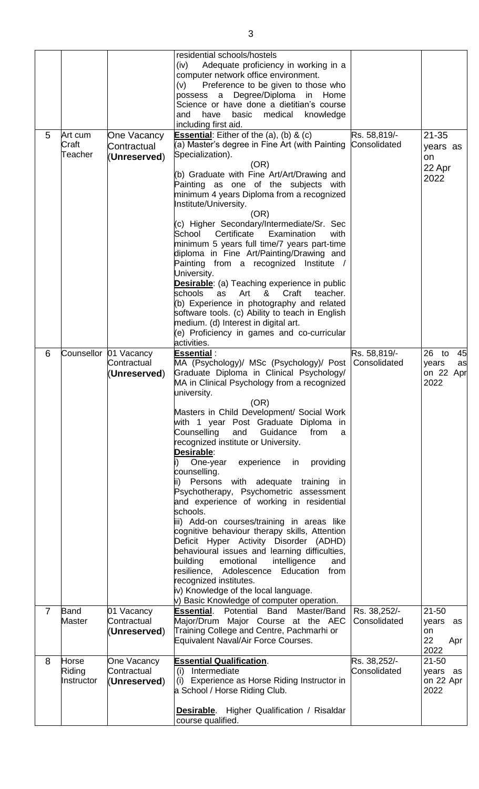|                |                               |                                                      | residential schools/hostels<br>Adequate proficiency in working in a<br>(iv)<br>computer network office environment.<br>Preference to be given to those who<br>(v)<br>Degree/Diploma<br>Home<br>possess<br>$\mathsf{a}$<br>in<br>Science or have done a dietitian's course<br>have<br>medical<br>knowledge<br>and<br>basic<br>including first aid.                                                                                                                                                                                                                                                                                                                                                                                                                                                                                                                                                                                                                                                 |                              |                                                     |
|----------------|-------------------------------|------------------------------------------------------|---------------------------------------------------------------------------------------------------------------------------------------------------------------------------------------------------------------------------------------------------------------------------------------------------------------------------------------------------------------------------------------------------------------------------------------------------------------------------------------------------------------------------------------------------------------------------------------------------------------------------------------------------------------------------------------------------------------------------------------------------------------------------------------------------------------------------------------------------------------------------------------------------------------------------------------------------------------------------------------------------|------------------------------|-----------------------------------------------------|
| 5              | Art cum<br>Craft<br>Teacher   | One Vacancy<br>Contractual<br>(Unreserved)           | <b>Essential:</b> Either of the $(a)$ , $(b)$ & $(c)$<br>(a) Master's degree in Fine Art (with Painting<br>Specialization).<br>(OR)<br>(b) Graduate with Fine Art/Art/Drawing and<br>Painting as one of the subjects with<br>minimum 4 years Diploma from a recognized<br>Institute/University.<br>(OR)<br>(c) Higher Secondary/Intermediate/Sr. Sec<br>School<br>Certificate<br>Examination<br>with<br>minimum 5 years full time/7 years part-time<br>diploma in Fine Art/Painting/Drawing and<br>Painting from a recognized Institute /<br>University.<br><b>Desirable:</b> (a) Teaching experience in public<br>schools<br>teacher.<br>Art<br>Craft<br>as<br>&<br>(b) Experience in photography and related                                                                                                                                                                                                                                                                                    | Rs. 58,819/-<br>Consolidated | $21 - 35$<br>years as<br>on<br>22 Apr<br>2022       |
|                |                               |                                                      | software tools. (c) Ability to teach in English<br>medium. (d) Interest in digital art.<br>(e) Proficiency in games and co-curricular<br>activities.                                                                                                                                                                                                                                                                                                                                                                                                                                                                                                                                                                                                                                                                                                                                                                                                                                              |                              |                                                     |
| 6              |                               | Counsellor 01 Vacancy<br>Contractual<br>(Unreserved) | <b>Essential:</b><br>MA (Psychology)/ MSc (Psychology)/ Post<br>Graduate Diploma in Clinical Psychology/<br>MA in Clinical Psychology from a recognized<br>university.<br>(OR)<br>Masters in Child Development/ Social Work<br>with 1 year Post Graduate Diploma in<br>Counselling<br>and<br>Guidance<br>from<br>a<br>recognized institute or University.<br>Desirable:<br>providing<br>One-year<br>experience in<br>counselling.<br>Persons<br>with adequate<br>training<br>ii)<br>in<br>Psychotherapy, Psychometric assessment<br>and experience of working in residential<br>schools.<br>iii) Add-on courses/training in areas like<br>cognitive behaviour therapy skills, Attention<br>Deficit Hyper Activity Disorder (ADHD)<br>behavioural issues and learning difficulties,<br>building<br>emotional<br>intelligence<br>and<br>resilience, Adolescence<br>Education<br>from<br>recognized institutes.<br>iv) Knowledge of the local language.<br>v) Basic Knowledge of computer operation. | Rs. 58,819/-<br>Consolidated | 45<br>$26$ to<br>years<br>as<br>on 22 Apr<br>2022   |
| $\overline{7}$ | Band<br><b>Master</b>         | 01 Vacancy<br>Contractual<br>(Unreserved)            | <b>Essential.</b> Potential Band Master/Band<br>Major/Drum Major Course at the AEC<br>Training College and Centre, Pachmarhi or<br>Equivalent Naval/Air Force Courses.                                                                                                                                                                                                                                                                                                                                                                                                                                                                                                                                                                                                                                                                                                                                                                                                                            | Rs. 38,252/-<br>Consolidated | $21 - 50$<br>years<br>as<br>on<br>22<br>Apr<br>2022 |
| 8              | Horse<br>Riding<br>Instructor | One Vacancy<br>Contractual<br>(Unreserved)           | <b>Essential Qualification.</b><br>(i) Intermediate<br>(i) Experience as Horse Riding Instructor in<br>a School / Horse Riding Club.<br><b>Desirable.</b> Higher Qualification / Risaldar<br>course qualified.                                                                                                                                                                                                                                                                                                                                                                                                                                                                                                                                                                                                                                                                                                                                                                                    | Rs. 38,252/-<br>Consolidated | $21 - 50$<br>years as<br>on 22 Apr<br>2022          |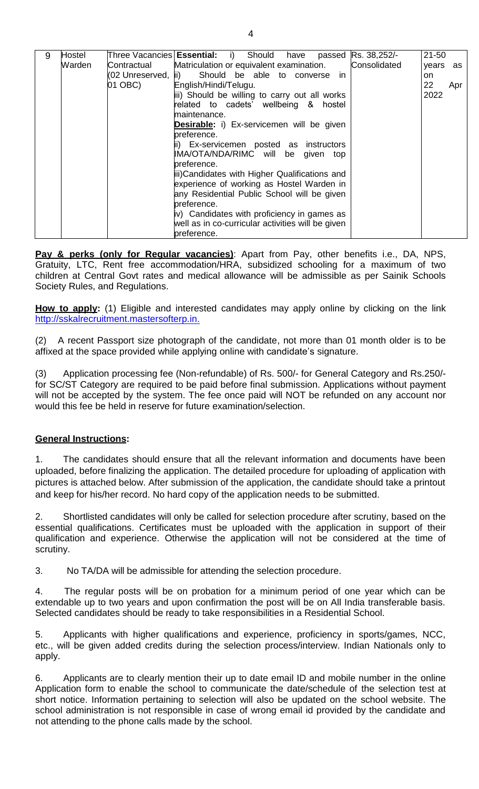| 9 | Hostel |                      | Three Vacancies <b>Essential:</b> i)<br>Should have<br>passed | Rs. 38,252/- | $21 - 50$ |
|---|--------|----------------------|---------------------------------------------------------------|--------------|-----------|
|   | Warden | lContractual         | Matriculation or equivalent examination.                      | Consolidated | years as  |
|   |        | (02 Unreserved,  ii) | Should be able to converse<br>in.                             |              | on.       |
|   |        | 01 OBC)              | English/Hindi/Telugu.                                         |              | 22<br>Apr |
|   |        |                      | iii) Should be willing to carry out all works                 |              | 2022      |
|   |        |                      | related to cadets' wellbeing & hostel                         |              |           |
|   |        |                      | maintenance.                                                  |              |           |
|   |        |                      | <b>Desirable:</b> i) Ex-servicemen will be given              |              |           |
|   |        |                      | preference.                                                   |              |           |
|   |        |                      | ii) Ex-servicemen posted as instructors                       |              |           |
|   |        |                      | IMA/OTA/NDA/RIMC will be given<br>top                         |              |           |
|   |        |                      | preference.                                                   |              |           |
|   |        |                      | iii) Candidates with Higher Qualifications and                |              |           |
|   |        |                      | experience of working as Hostel Warden in                     |              |           |
|   |        |                      | any Residential Public School will be given                   |              |           |
|   |        |                      | preference.                                                   |              |           |
|   |        |                      | iv) Candidates with proficiency in games as                   |              |           |
|   |        |                      | well as in co-curricular activities will be given             |              |           |
|   |        |                      | preference.                                                   |              |           |

**Pay & perks (only for Regular vacancies)**: Apart from Pay, other benefits i.e., DA, NPS, Gratuity, LTC, Rent free accommodation/HRA, subsidized schooling for a maximum of two children at Central Govt rates and medical allowance will be admissible as per Sainik Schools Society Rules, and Regulations.

How to apply: (1) Eligible and interested candidates may apply online by clicking on the link [http://sskalrecruitment.mastersofterp.in.](http://sskalrecruitment.mastersofterp.in/)

(2) A recent Passport size photograph of the candidate, not more than 01 month older is to be affixed at the space provided while applying online with candidate's signature.

(3) Application processing fee (Non-refundable) of Rs. 500/- for General Category and Rs.250/ for SC/ST Category are required to be paid before final submission. Applications without payment will not be accepted by the system. The fee once paid will NOT be refunded on any account nor would this fee be held in reserve for future examination/selection.

#### **General Instructions:**

1. The candidates should ensure that all the relevant information and documents have been uploaded, before finalizing the application. The detailed procedure for uploading of application with pictures is attached below. After submission of the application, the candidate should take a printout and keep for his/her record. No hard copy of the application needs to be submitted.

2. Shortlisted candidates will only be called for selection procedure after scrutiny, based on the essential qualifications. Certificates must be uploaded with the application in support of their qualification and experience. Otherwise the application will not be considered at the time of scrutiny.

3. No TA/DA will be admissible for attending the selection procedure.

4. The regular posts will be on probation for a minimum period of one year which can be extendable up to two years and upon confirmation the post will be on All India transferable basis. Selected candidates should be ready to take responsibilities in a Residential School.

5. Applicants with higher qualifications and experience, proficiency in sports/games, NCC, etc., will be given added credits during the selection process/interview. Indian Nationals only to apply.

6. Applicants are to clearly mention their up to date email ID and mobile number in the online Application form to enable the school to communicate the date/schedule of the selection test at short notice. Information pertaining to selection will also be updated on the school website. The school administration is not responsible in case of wrong email id provided by the candidate and not attending to the phone calls made by the school.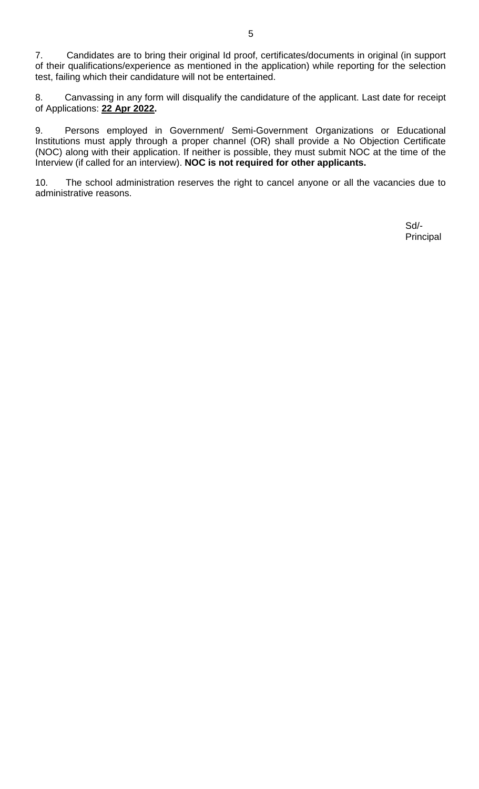7. Candidates are to bring their original Id proof, certificates/documents in original (in support of their qualifications/experience as mentioned in the application) while reporting for the selection test, failing which their candidature will not be entertained.

8. Canvassing in any form will disqualify the candidature of the applicant. Last date for receipt of Applications: **22 Apr 2022.**

9. Persons employed in Government/ Semi-Government Organizations or Educational Institutions must apply through a proper channel (OR) shall provide a No Objection Certificate (NOC) along with their application. If neither is possible, they must submit NOC at the time of the Interview (if called for an interview). **NOC is not required for other applicants.**

10. The school administration reserves the right to cancel anyone or all the vacancies due to administrative reasons.

> Sd/- Principal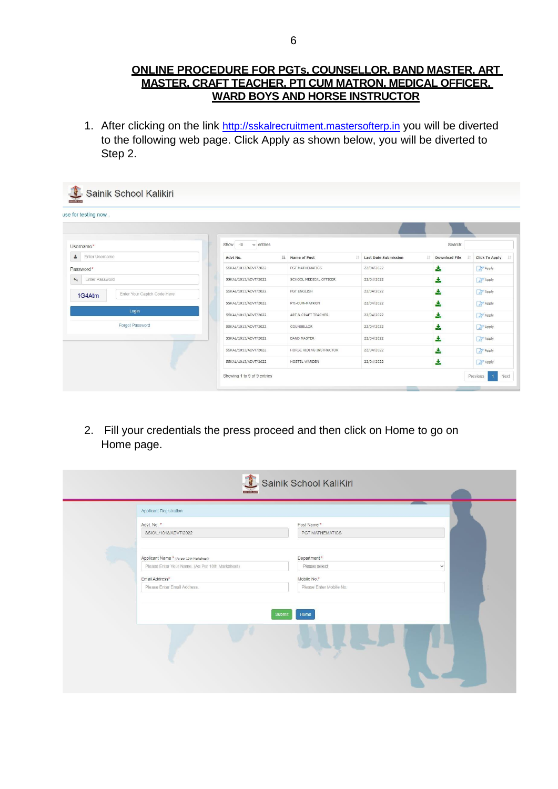#### **ONLINE PROCEDURE FOR PGTs, COUNSELLOR, BAND MASTER, ART MASTER, CRAFT TEACHER, PTI CUM MATRON, MEDICAL OFFICER, WARD BOYS AND HORSE INSTRUCTOR**

1. After clicking on the link [http://sskalrecruitment.mastersofterp.in](http://sskalrecruitment.mastersofterp.in/) you will be diverted to the following web page. Click Apply as shown below, you will be diverted to Step 2.

| use for testing now.                                         |                           |                            |                                   |                            |                       |
|--------------------------------------------------------------|---------------------------|----------------------------|-----------------------------------|----------------------------|-----------------------|
| Username*                                                    | Show 10<br>$\vee$ entries |                            |                                   | Search:                    |                       |
| ۵<br>Enter Username                                          | Advt No.                  | li.<br>Name of Post<br>11. | <b>Last Date Submission</b><br>11 | <b>Download File</b><br>17 | <b>Click To Apply</b> |
| Password*                                                    | SSKAL/1013/ADVT/2022      | PGT MATHEMATICS            | 22/04/2022                        | 소                          | Apply                 |
| $a_{\!\scriptscriptstyle (\!\varsigma\!)}$<br>Enter Password | SSKAL/1013/ADVT/2022      | SCHOOL MEDICAL OFFICER     | 22/04/2022                        | 소                          | <b>Z</b> Apply        |
| Enter Your Captch Code Here<br>1G4Atm                        | SSKAL/1013/ADVT/2022      | PGT ENGLISH                | 22/04/2022                        | 소                          | <b>Z</b> Apply        |
|                                                              | SSKAL/1013/ADVT/2022      | PTI-CUM-MATRON             | 22/04/2022                        | 소                          | <b>Z</b> Apply        |
| Login                                                        | SSKAL/1013/ADVT/2022      | ART & CRAFT TEACHER        | 22/04/2022                        | 소                          | <b>Z</b> Apply        |
| Forgot Password                                              | SSKAL/1013/ADVT/2022      | COUNSELLOR                 | 22/04/2022                        | Ł.                         | Apply                 |
|                                                              | SSKAL/1013/ADVT/2022      | <b>BAND MASTER</b>         | 22/04/2022                        | 소                          | Apply                 |
|                                                              | SSKAL/1013/ADVT/2022      | HORSE RIDING INSTRUCTOR    | 22/04/2022                        | 소                          | Apply                 |
|                                                              | SSKAL/1013/ADVT/2022      | HOSTEL WARDEN              | 22/04/2022                        | 志                          | Apply                 |

2. Fill your credentials the press proceed and then click on Home to go on Home page.

| <b>Applicant Registration</b><br>Advt. No. *    | Post Name*              |
|-------------------------------------------------|-------------------------|
| SSKAL/1013/ADVT/2022                            | PGT MATHEMATICS         |
| Applicant Name * (As per 10th Marksheet)        | Department*             |
| Please Enter Your Name. (As Per 10th Marksheet) | Please select           |
| Email Address*                                  | Mobile No.*             |
| Please Enter Email Address.                     | Please Enter Mobile No. |
|                                                 | Submit<br>Home          |
|                                                 |                         |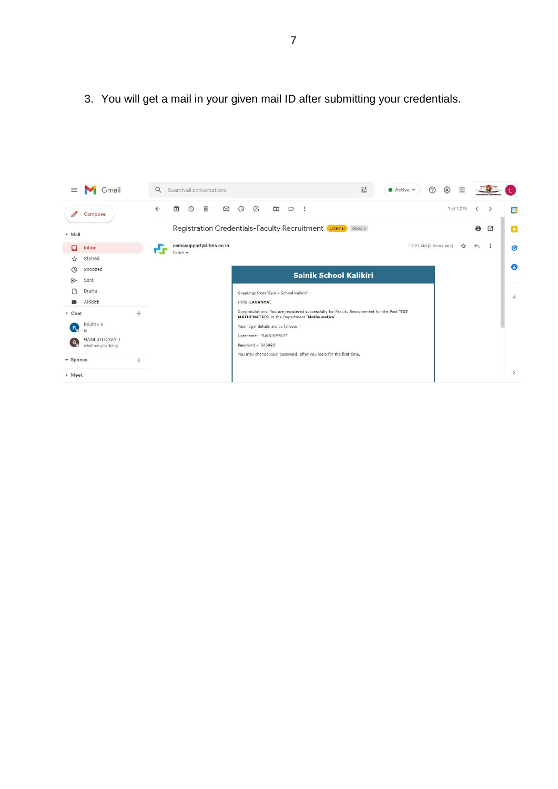3. You will get a mail in your given mail ID after submitting your credentials.

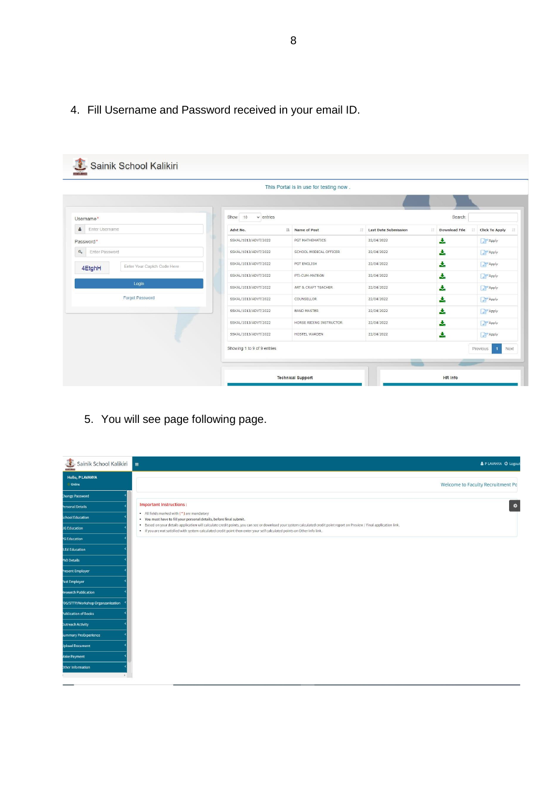### 4. Fill Username and Password received in your email ID.

|                                                         |                                        | This Portal is in use for testing now. |                                   |                      |                                    |
|---------------------------------------------------------|----------------------------------------|----------------------------------------|-----------------------------------|----------------------|------------------------------------|
|                                                         |                                        |                                        |                                   |                      |                                    |
| Username*                                               | Show<br>$ 10\rangle$<br>$\vee$ entries |                                        |                                   | Search:              |                                    |
| 옵<br>Enter Username                                     | Advt No.                               | IL Name of Post<br>$11 -$              | <b>Last Date Submission</b><br>11 | <b>Download File</b> | <b>Click To Apply</b>              |
| Password*                                               | SSKAL/1013/ADVT/2022                   | PGT MATHEMATICS                        | 22/04/2022                        | 圡                    | Apply                              |
| $a_{\!\scriptscriptstyle \downarrow}$<br>Enter Password | SSKAL/1013/ADVT/2022                   | SCHOOL MEDICAL OFFICER                 | 22/04/2022                        | 支                    | <b>Z</b> Apply                     |
| Enter Your Captch Code Here<br>4EtghH                   | SSKAL/1013/ADVT/2022                   | PGT ENGLISH                            | 22/04/2022                        | 支                    | <b>Z</b> Apply                     |
|                                                         | SSKAL/1013/ADVT/2022                   | PTI-CUM-MATRON                         | 22/04/2022                        | 支                    | Apply                              |
| Login                                                   | SSKAL/1013/ADVT/2022                   | ART & CRAFT TEACHER                    | 22/04/2022                        | 土                    | <b>Z</b> Apply                     |
| Forgot Password                                         | SSKAL/1013/ADVT/2022                   | COUNSELLOR                             | 22/04/2022                        | 志                    | <b>Z</b> Apply                     |
|                                                         | SSKAL/1013/ADVT/2022                   | <b>BAND MASTER</b>                     | 22/04/2022                        | 支                    | <b>Apply</b>                       |
|                                                         | SSKAL/1013/ADVT/2022                   | HORSE RIDING INSTRUCTOR                | 22/04/2022                        | 圡                    | Apply                              |
|                                                         | SSKAL/1013/ADVT/2022                   | HOSTEL WARDEN                          | 22/04/2022                        | 志                    | <b>Z</b> Apply                     |
|                                                         | Showing 1 to 9 of 9 entries            |                                        |                                   |                      | Previous<br>Next<br>$\overline{1}$ |

5. You will see page following page.

| Sainik School Kalikiri            | & PLAVANYA <b>C</b> Logout                                                                                                                                                                                                                                                                             |
|-----------------------------------|--------------------------------------------------------------------------------------------------------------------------------------------------------------------------------------------------------------------------------------------------------------------------------------------------------|
| <b>Hello, P LAVANYA</b><br>Online | Welcome to Faculty Recruitment Po                                                                                                                                                                                                                                                                      |
| <b>Change Password</b>            |                                                                                                                                                                                                                                                                                                        |
| Personal Details                  | <b>Important Instructions:</b><br>$\bullet$                                                                                                                                                                                                                                                            |
| <b>School Education</b>           | • All fields marked with (*) are mandatory<br>. You must have to fill your personal details, before final submit.                                                                                                                                                                                      |
| JG Education                      | . Based on your details application will calculate credit points, you can see or download your system calculated credit point report on Preview / Final application link.<br>. If you are not satisfied with system calculated credit point then enter your self calculated points on Other Info link. |
| <b>G</b> Education                |                                                                                                                                                                                                                                                                                                        |
| <b>S.Ed Education</b>             |                                                                                                                                                                                                                                                                                                        |
| hD Details                        |                                                                                                                                                                                                                                                                                                        |
| Present Employer                  |                                                                                                                                                                                                                                                                                                        |
| Past Employer                     |                                                                                                                                                                                                                                                                                                        |
| <b>Research Publication</b>       |                                                                                                                                                                                                                                                                                                        |
| DS/STTP/Workshop Organzanization  |                                                                                                                                                                                                                                                                                                        |
| Publication of Books              |                                                                                                                                                                                                                                                                                                        |
| <b>Jutreach Activity</b>          |                                                                                                                                                                                                                                                                                                        |
| <b>Summary ProExperience</b>      |                                                                                                                                                                                                                                                                                                        |
| <b>Jpload Document</b>            |                                                                                                                                                                                                                                                                                                        |
| <b>Jake Payment</b>               |                                                                                                                                                                                                                                                                                                        |
| Other Information                 |                                                                                                                                                                                                                                                                                                        |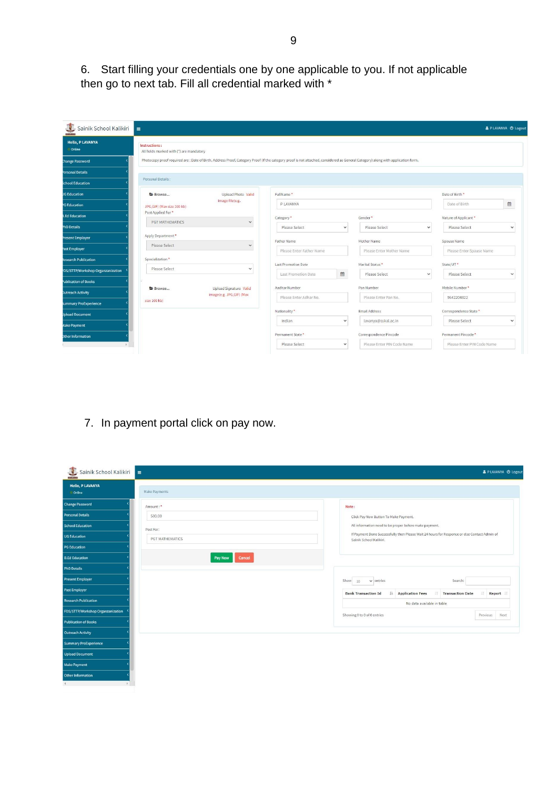6. Start filling your credentials one by one applicable to you. If not applicable then go to next tab. Fill all credential marked with \*

| ≗<br>Sainik School Kalikiri       | $\equiv$                                                  |                                                    |                                                                                                                                                                                  |              |                                                   |                            | & PLAVANYA <b>O</b> Logout |
|-----------------------------------|-----------------------------------------------------------|----------------------------------------------------|----------------------------------------------------------------------------------------------------------------------------------------------------------------------------------|--------------|---------------------------------------------------|----------------------------|----------------------------|
| <b>Hello, P LAVANYA</b><br>Online | Instructions:<br>All fields marked with (*) are mandatory |                                                    |                                                                                                                                                                                  |              |                                                   |                            |                            |
| <b>Change Password</b>            |                                                           |                                                    | Photocopy proof required are : Date of Birth, Address Proof, Category Proof (If the category proof is not attached, considered as General Category) along with application form. |              |                                                   |                            |                            |
| Personal Details                  |                                                           |                                                    |                                                                                                                                                                                  |              |                                                   |                            |                            |
| <b>School Education</b>           | Personal Details:                                         |                                                    |                                                                                                                                                                                  |              |                                                   |                            |                            |
| <b>JG Education</b>               | ■ Browse                                                  | Upload Photo Valid                                 | FullName*                                                                                                                                                                        |              |                                                   | Date of Birth*             |                            |
| <b>G</b> Education                | JPG, GIF) (Max size 100 kb)                               | image file(e.g.                                    | P LAVANYA                                                                                                                                                                        |              |                                                   | Date of Birth              | 曲                          |
| <b>3.Ed Education</b>             | Post Applied For*                                         |                                                    | Category*                                                                                                                                                                        |              | Gender*                                           | Nature of Applicant*       |                            |
| <b>PhD Details</b>                | PGT MATHEMATICS                                           | $\checkmark$                                       | Please Select                                                                                                                                                                    | $\checkmark$ | Please Select<br>$\checkmark$                     | Please Select              | $\check{ }$                |
| Present Employer                  | Apply Department*                                         |                                                    | Father Name                                                                                                                                                                      |              | Mother Name                                       | Spouse Name                |                            |
| Past Employer                     | Please Select                                             | $\checkmark$                                       | Please Enter Father Name                                                                                                                                                         |              | Please Enter Mother Name                          | Please Enter Spause Name   |                            |
| Research Publication              | Specialization*                                           |                                                    |                                                                                                                                                                                  |              |                                                   |                            |                            |
| DS/STTP/Workshop Organzanization  | Please Select                                             | $\checkmark$                                       | <b>Last Promotion Date</b><br>Last Promotion Date                                                                                                                                | 篇            | Marital Status *<br>Please Select<br>$\checkmark$ | State/UT*<br>Please Select | $\check{~}$                |
| Publication of Books              |                                                           |                                                    |                                                                                                                                                                                  |              |                                                   |                            |                            |
| <b>Jutreach Activity</b>          | Browse                                                    | Upload Signature Valid<br>image(e.g. JPG,GIF) (Max | Aadhar Number                                                                                                                                                                    |              | Pan Number                                        | Mobile Number*             |                            |
| summary ProExperience             | size 100 kb)                                              |                                                    | Please Enter Adhar No.                                                                                                                                                           |              | Please Enter Pan No.                              | 9642204822                 |                            |
| <b>Joload Document</b>            |                                                           |                                                    | Nationality*                                                                                                                                                                     |              | <b>Email Address</b>                              | Correspondence State *     |                            |
| <b>Aake Payment</b>               |                                                           |                                                    | Indian                                                                                                                                                                           | $\checkmark$ | lavanya@sskal.ac.in                               | Please Select              | $\checkmark$               |
| Other Information                 |                                                           |                                                    | Permanent State*                                                                                                                                                                 |              | Correspondence Pincode                            | Permanent Pincode*         |                            |
|                                   |                                                           |                                                    | Please Select                                                                                                                                                                    | $\checkmark$ | Please Enter PIN Code Name                        | Please Enter PIN Code Name |                            |

7. In payment portal click on pay now.

| Sainik School Kalikiri<br>≐              |                   | & P LAVANYA @ Logout                                                                                                    |
|------------------------------------------|-------------------|-------------------------------------------------------------------------------------------------------------------------|
| <b>Hello, P LAVANYA</b><br><b>Online</b> | Make Payments     |                                                                                                                         |
| <b>Change Password</b>                   | Amount:*          | Note:                                                                                                                   |
| <b>Personal Details</b>                  | 500.00            | Click Pay Now Button To Make Payment.                                                                                   |
| <b>School Education</b>                  | Post For:         | All information need to be proper before make payment.                                                                  |
| <b>UG Education</b>                      | PGT MATHEMATICS   | If Payment Done Successfully then Please Wait 24 hours for Responce or else Contact Admin of<br>Sainik School Kalikiri. |
| <b>PG Education</b>                      |                   |                                                                                                                         |
| <b>B.Ed Education</b>                    | Pay Now<br>Cancel |                                                                                                                         |
| <b>PhD Details</b>                       |                   |                                                                                                                         |
| <b>Present Employer</b>                  |                   | Show<br>$\vee$ entries<br>Search:<br>10                                                                                 |
| <b>Past Employer</b>                     |                   | Application Fees<br><b>Transaction Date</b><br> T <br>Report<br><b>Bank Transaction Id</b>                              |
| <b>Research Publication</b>              |                   | No data available in table                                                                                              |
| FDS/STTP/Workshop Organzanization        |                   | Showing 0 to 0 of 0 entries<br>Next<br>Previous                                                                         |
| <b>Publication of Books</b>              |                   |                                                                                                                         |
| <b>Outreach Activity</b>                 |                   |                                                                                                                         |
| <b>Summary ProExperience</b>             |                   |                                                                                                                         |
| <b>Upload Document</b>                   |                   |                                                                                                                         |
| <b>Make Payment</b>                      |                   |                                                                                                                         |
| Other Information                        |                   |                                                                                                                         |